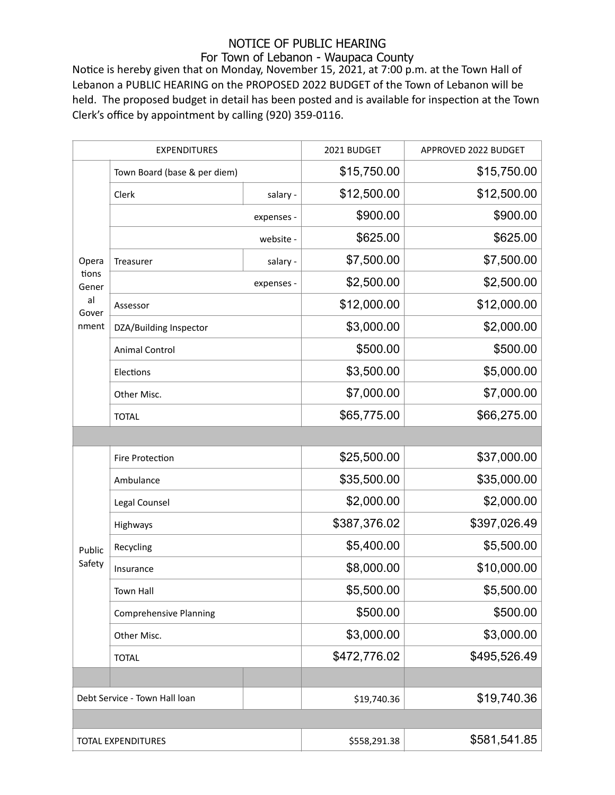## NOTICE OF PUBLIC HEARING

## For Town of Lebanon - Waupaca County

Notice is hereby given that on Monday, November 15, 2021, at 7:00 p.m. at the Town Hall of Lebanon a PUBLIC HEARING on the PROPOSED 2022 BUDGET of the Town of Lebanon will be held. The proposed budget in detail has been posted and is available for inspection at the Town Clerk's office by appointment by calling (920) 359-0116.

| <b>EXPENDITURES</b>                             |                               |            | 2021 BUDGET  | APPROVED 2022 BUDGET |
|-------------------------------------------------|-------------------------------|------------|--------------|----------------------|
| Opera<br>tions<br>Gener<br>al<br>Gover<br>nment | Town Board (base & per diem)  |            | \$15,750.00  | \$15,750.00          |
|                                                 | Clerk                         | salary -   | \$12,500.00  | \$12,500.00          |
|                                                 |                               | expenses - | \$900.00     | \$900.00             |
|                                                 |                               | website -  | \$625.00     | \$625.00             |
|                                                 | Treasurer                     | salary -   | \$7,500.00   | \$7,500.00           |
|                                                 |                               | expenses - | \$2,500.00   | \$2,500.00           |
|                                                 | Assessor                      |            | \$12,000.00  | \$12,000.00          |
|                                                 | DZA/Building Inspector        |            | \$3,000.00   | \$2,000.00           |
|                                                 | <b>Animal Control</b>         |            | \$500.00     | \$500.00             |
|                                                 | Elections                     |            | \$3,500.00   | \$5,000.00           |
|                                                 | Other Misc.                   |            | \$7,000.00   | \$7,000.00           |
|                                                 | <b>TOTAL</b>                  |            | \$65,775.00  | \$66,275.00          |
|                                                 |                               |            |              |                      |
|                                                 | Fire Protection               |            | \$25,500.00  | \$37,000.00          |
| Public<br>Safety                                | Ambulance                     |            | \$35,500.00  | \$35,000.00          |
|                                                 | Legal Counsel                 |            | \$2,000.00   | \$2,000.00           |
|                                                 | Highways                      |            | \$387,376.02 | \$397,026.49         |
|                                                 | Recycling                     |            | \$5,400.00   | \$5,500.00           |
|                                                 | Insurance                     |            | \$8,000.00   | \$10,000.00          |
|                                                 | Town Hall                     |            | \$5,500.00   | \$5,500.00           |
|                                                 | <b>Comprehensive Planning</b> |            | \$500.00     | \$500.00             |
|                                                 | Other Misc.                   |            | \$3,000.00   | \$3,000.00           |
|                                                 | <b>TOTAL</b>                  |            | \$472,776.02 | \$495,526.49         |
|                                                 |                               |            |              |                      |
| Debt Service - Town Hall loan                   |                               |            | \$19,740.36  | \$19,740.36          |
|                                                 |                               |            |              |                      |
| <b>TOTAL EXPENDITURES</b>                       |                               |            | \$558,291.38 | \$581,541.85         |